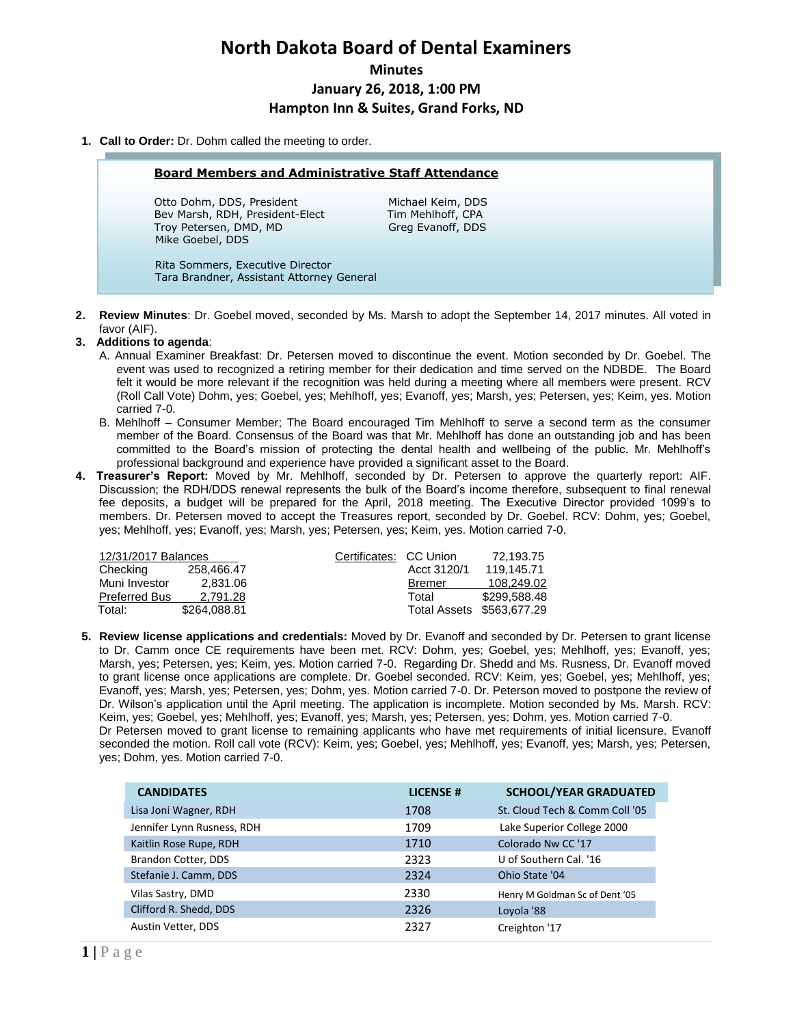# **North Dakota Board of Dental Examiners Minutes January 26, 2018, 1:00 PM Hampton Inn & Suites, Grand Forks, ND**

## **1. Call to Order:** Dr. Dohm called the meeting to order.

#### **Board Members and Administrative Staff Attendance**

Otto Dohm, DDS, President Michael Keim, DDS Bev Marsh, RDH, President-Elect Tim Mehlhoff, CPA Troy Petersen, DMD, MD Greg Evanoff, DDS Mike Goebel, DDS

 Rita Sommers, Executive Director Tara Brandner, Assistant Attorney General

**2. Review Minutes**: Dr. Goebel moved, seconded by Ms. Marsh to adopt the September 14, 2017 minutes. All voted in favor (AIF).

## **3. Additions to agenda**:

- A. Annual Examiner Breakfast: Dr. Petersen moved to discontinue the event. Motion seconded by Dr. Goebel. The event was used to recognized a retiring member for their dedication and time served on the NDBDE. The Board felt it would be more relevant if the recognition was held during a meeting where all members were present. RCV (Roll Call Vote) Dohm, yes; Goebel, yes; Mehlhoff, yes; Evanoff, yes; Marsh, yes; Petersen, yes; Keim, yes. Motion carried 7-0.
- B. Mehlhoff Consumer Member; The Board encouraged Tim Mehlhoff to serve a second term as the consumer member of the Board. Consensus of the Board was that Mr. Mehlhoff has done an outstanding job and has been committed to the Board's mission of protecting the dental health and wellbeing of the public. Mr. Mehlhoff's professional background and experience have provided a significant asset to the Board.
- **4. Treasurer's Report:** Moved by Mr. Mehlhoff, seconded by Dr. Petersen to approve the quarterly report: AIF. Discussion; the RDH/DDS renewal represents the bulk of the Board's income therefore, subsequent to final renewal fee deposits, a budget will be prepared for the April, 2018 meeting. The Executive Director provided 1099's to members. Dr. Petersen moved to accept the Treasures report, seconded by Dr. Goebel. RCV: Dohm, yes; Goebel, yes; Mehlhoff, yes; Evanoff, yes; Marsh, yes; Petersen, yes; Keim, yes. Motion carried 7-0.

| 12/31/2017 Balances  |              | Certificates: CC Union |               | 72.193.75                 |
|----------------------|--------------|------------------------|---------------|---------------------------|
| Checking             | 258.466.47   |                        | Acct 3120/1   | 119.145.71                |
| Muni Investor        | 2.831.06     |                        | <b>Bremer</b> | 108.249.02                |
| <b>Preferred Bus</b> | 2.791.28     |                        | Total         | \$299,588,48              |
| Total:               | \$264.088.81 |                        |               | Total Assets \$563,677.29 |

**5. Review license applications and credentials:** Moved by Dr. Evanoff and seconded by Dr. Petersen to grant license to Dr. Camm once CE requirements have been met. RCV: Dohm, yes; Goebel, yes; Mehlhoff, yes; Evanoff, yes; Marsh, yes; Petersen, yes; Keim, yes. Motion carried 7-0. Regarding Dr. Shedd and Ms. Rusness, Dr. Evanoff moved to grant license once applications are complete. Dr. Goebel seconded. RCV: Keim, yes; Goebel, yes; Mehlhoff, yes; Evanoff, yes; Marsh, yes; Petersen, yes; Dohm, yes. Motion carried 7-0. Dr. Peterson moved to postpone the review of Dr. Wilson's application until the April meeting. The application is incomplete. Motion seconded by Ms. Marsh. RCV: Keim, yes; Goebel, yes; Mehlhoff, yes; Evanoff, yes; Marsh, yes; Petersen, yes; Dohm, yes. Motion carried 7-0. Dr Petersen moved to grant license to remaining applicants who have met requirements of initial licensure. Evanoff seconded the motion. Roll call vote (RCV): Keim, yes; Goebel, yes; Mehlhoff, yes; Evanoff, yes; Marsh, yes; Petersen, yes; Dohm, yes. Motion carried 7-0.

| <b>CANDIDATES</b>          | <b>LICENSE#</b> | <b>SCHOOL/YEAR GRADUATED</b>   |
|----------------------------|-----------------|--------------------------------|
| Lisa Joni Wagner, RDH      | 1708            | St. Cloud Tech & Comm Coll '05 |
| Jennifer Lynn Rusness, RDH | 1709            | Lake Superior College 2000     |
| Kaitlin Rose Rupe, RDH     | 1710            | Colorado Nw CC '17             |
| Brandon Cotter, DDS        | 2323            | U of Southern Cal. '16         |
| Stefanie J. Camm, DDS      | 2324            | Ohio State '04                 |
| Vilas Sastry, DMD          | 2330            | Henry M Goldman Sc of Dent '05 |
| Clifford R. Shedd, DDS     | 2326            | Loyola '88                     |
| Austin Vetter, DDS         | 2327            | Creighton '17                  |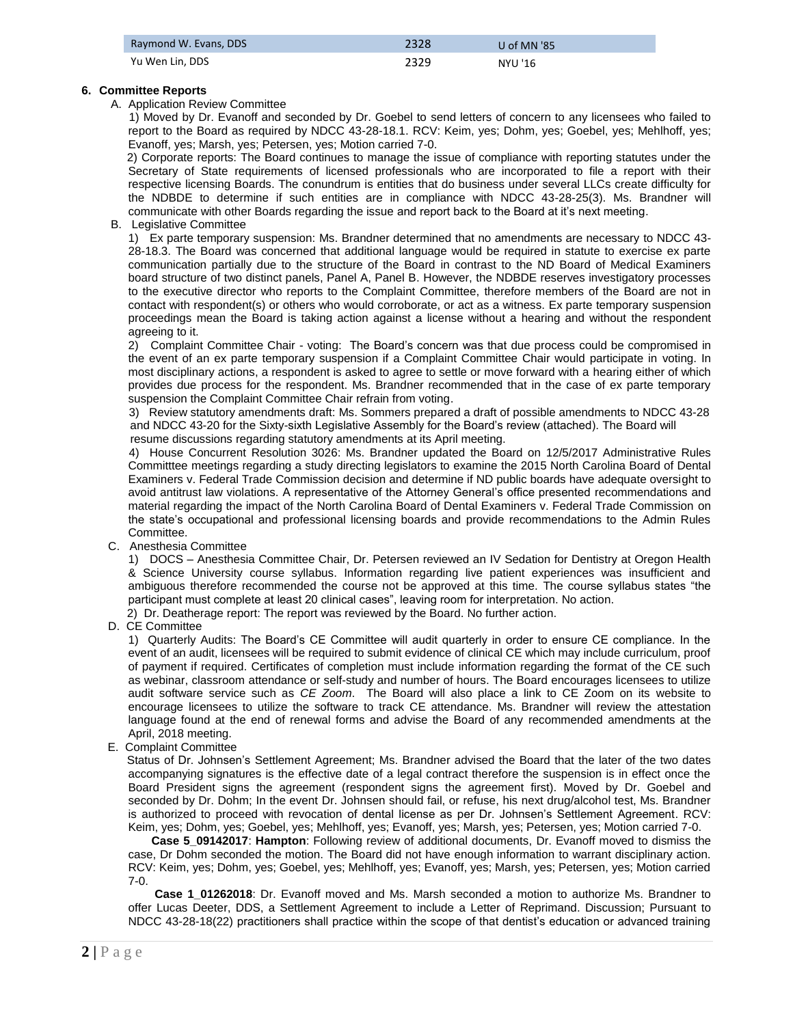| Raymond W. Evans, DDS | 2328 | U of MN '85 |
|-----------------------|------|-------------|
| Yu Wen Lin, DDS       | 2329 | NYU '16     |

## **6. Committee Reports**

## A. Application Review Committee

 1) Moved by Dr. Evanoff and seconded by Dr. Goebel to send letters of concern to any licensees who failed to report to the Board as required by NDCC 43-28-18.1. RCV: Keim, yes; Dohm, yes; Goebel, yes; Mehlhoff, yes; Evanoff, yes; Marsh, yes; Petersen, yes; Motion carried 7-0.

 2) Corporate reports: The Board continues to manage the issue of compliance with reporting statutes under the Secretary of State requirements of licensed professionals who are incorporated to file a report with their respective licensing Boards. The conundrum is entities that do business under several LLCs create difficulty for the NDBDE to determine if such entities are in compliance with NDCC 43-28-25(3). Ms. Brandner will communicate with other Boards regarding the issue and report back to the Board at it's next meeting.

B. Legislative Committee

1) Ex parte temporary suspension: Ms. Brandner determined that no amendments are necessary to NDCC 43- 28-18.3. The Board was concerned that additional language would be required in statute to exercise ex parte communication partially due to the structure of the Board in contrast to the ND Board of Medical Examiners board structure of two distinct panels, Panel A, Panel B. However, the NDBDE reserves investigatory processes to the executive director who reports to the Complaint Committee, therefore members of the Board are not in contact with respondent(s) or others who would corroborate, or act as a witness. Ex parte temporary suspension proceedings mean the Board is taking action against a license without a hearing and without the respondent agreeing to it.

2) Complaint Committee Chair - voting: The Board's concern was that due process could be compromised in the event of an ex parte temporary suspension if a Complaint Committee Chair would participate in voting. In most disciplinary actions, a respondent is asked to agree to settle or move forward with a hearing either of which provides due process for the respondent. Ms. Brandner recommended that in the case of ex parte temporary suspension the Complaint Committee Chair refrain from voting.

 3) Review statutory amendments draft: Ms. Sommers prepared a draft of possible amendments to NDCC 43-28 and NDCC 43-20 for the Sixty-sixth Legislative Assembly for the Board's review (attached). The Board will resume discussions regarding statutory amendments at its April meeting.

4) House Concurrent Resolution 3026: Ms. Brandner updated the Board on 12/5/2017 Administrative Rules Committtee meetings regarding a study directing legislators to examine the 2015 North Carolina Board of Dental Examiners v. Federal Trade Commission decision and determine if ND public boards have adequate oversight to avoid antitrust law violations. A representative of the Attorney General's office presented recommendations and material regarding the impact of the North Carolina Board of Dental Examiners v. Federal Trade Commission on the state's occupational and professional licensing boards and provide recommendations to the Admin Rules Committee.

C. Anesthesia Committee

1) DOCS – Anesthesia Committee Chair, Dr. Petersen reviewed an IV Sedation for Dentistry at Oregon Health & Science University course syllabus. Information regarding live patient experiences was insufficient and ambiguous therefore recommended the course not be approved at this time. The course syllabus states "the participant must complete at least 20 clinical cases", leaving room for interpretation. No action.

2) Dr. Deatherage report: The report was reviewed by the Board. No further action.

D. CE Committee

1) Quarterly Audits: The Board's CE Committee will audit quarterly in order to ensure CE compliance. In the event of an audit, licensees will be required to submit evidence of clinical CE which may include curriculum, proof of payment if required. Certificates of completion must include information regarding the format of the CE such as webinar, classroom attendance or self-study and number of hours. The Board encourages licensees to utilize audit software service such as *CE Zoom*. The Board will also place a link to CE Zoom on its website to encourage licensees to utilize the software to track CE attendance. Ms. Brandner will review the attestation language found at the end of renewal forms and advise the Board of any recommended amendments at the April, 2018 meeting.

E. Complaint Committee

 Status of Dr. Johnsen's Settlement Agreement; Ms. Brandner advised the Board that the later of the two dates accompanying signatures is the effective date of a legal contract therefore the suspension is in effect once the Board President signs the agreement (respondent signs the agreement first). Moved by Dr. Goebel and seconded by Dr. Dohm; In the event Dr. Johnsen should fail, or refuse, his next drug/alcohol test, Ms. Brandner is authorized to proceed with revocation of dental license as per Dr. Johnsen's Settlement Agreement. RCV: Keim, yes; Dohm, yes; Goebel, yes; Mehlhoff, yes; Evanoff, yes; Marsh, yes; Petersen, yes; Motion carried 7-0.

**Case 5\_09142017**: **Hampton**: Following review of additional documents, Dr. Evanoff moved to dismiss the case, Dr Dohm seconded the motion. The Board did not have enough information to warrant disciplinary action. RCV: Keim, yes; Dohm, yes; Goebel, yes; Mehlhoff, yes; Evanoff, yes; Marsh, yes; Petersen, yes; Motion carried 7-0.

**Case 1\_01262018**: Dr. Evanoff moved and Ms. Marsh seconded a motion to authorize Ms. Brandner to offer Lucas Deeter, DDS, a Settlement Agreement to include a Letter of Reprimand. Discussion; Pursuant to NDCC 43-28-18(22) practitioners shall practice within the scope of that dentist's education or advanced training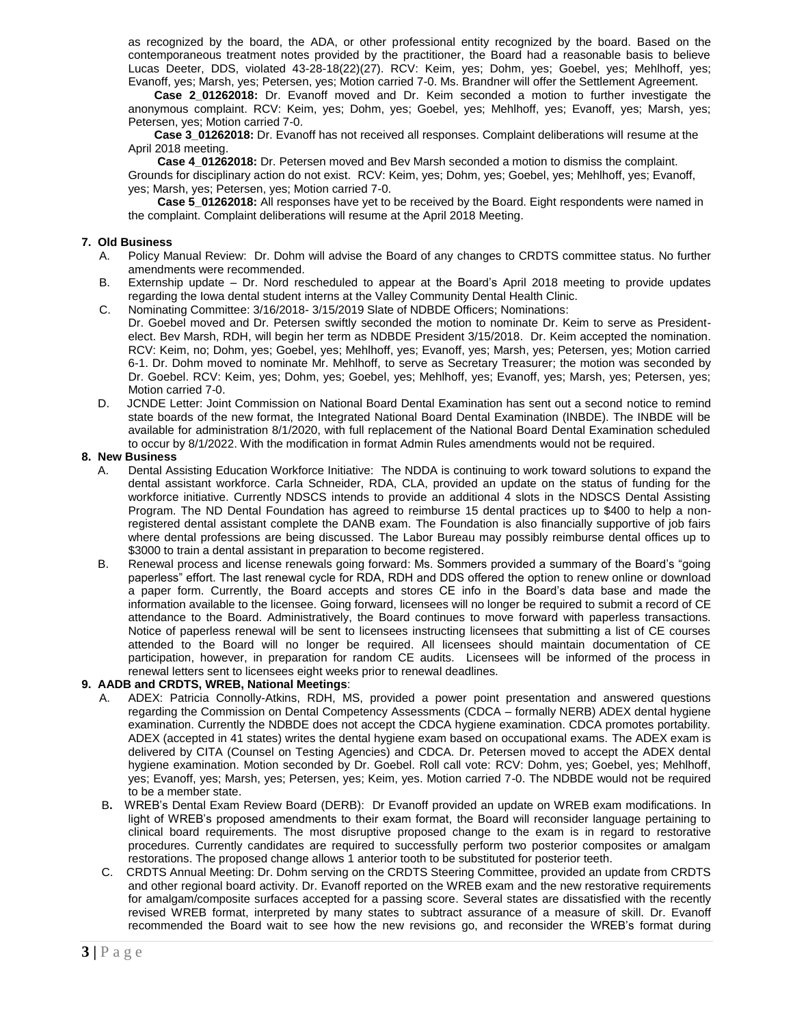as recognized by the board, the ADA, or other professional entity recognized by the board. Based on the contemporaneous treatment notes provided by the practitioner, the Board had a reasonable basis to believe Lucas Deeter, DDS, violated 43-28-18(22)(27). RCV: Keim, yes; Dohm, yes; Goebel, yes; Mehlhoff, yes; Evanoff, yes; Marsh, yes; Petersen, yes; Motion carried 7-0. Ms. Brandner will offer the Settlement Agreement.

 **Case 2\_01262018:** Dr. Evanoff moved and Dr. Keim seconded a motion to further investigate the anonymous complaint. RCV: Keim, yes; Dohm, yes; Goebel, yes; Mehlhoff, yes; Evanoff, yes; Marsh, yes; Petersen, yes; Motion carried 7-0.

 **Case 3\_01262018:** Dr. Evanoff has not received all responses. Complaint deliberations will resume at the April 2018 meeting.

**Case 4\_01262018:** Dr. Petersen moved and Bev Marsh seconded a motion to dismiss the complaint. Grounds for disciplinary action do not exist. RCV: Keim, yes; Dohm, yes; Goebel, yes; Mehlhoff, yes; Evanoff, yes; Marsh, yes; Petersen, yes; Motion carried 7-0.

 **Case 5\_01262018:** All responses have yet to be received by the Board. Eight respondents were named in the complaint. Complaint deliberations will resume at the April 2018 Meeting.

## **7. Old Business**

- A. Policy Manual Review: Dr. Dohm will advise the Board of any changes to CRDTS committee status. No further amendments were recommended.
- B. Externship update Dr. Nord rescheduled to appear at the Board's April 2018 meeting to provide updates regarding the Iowa dental student interns at the Valley Community Dental Health Clinic.
- C. Nominating Committee: 3/16/2018- 3/15/2019 Slate of NDBDE Officers; Nominations: Dr. Goebel moved and Dr. Petersen swiftly seconded the motion to nominate Dr. Keim to serve as Presidentelect. Bev Marsh, RDH, will begin her term as NDBDE President 3/15/2018. Dr. Keim accepted the nomination. RCV: Keim, no; Dohm, yes; Goebel, yes; Mehlhoff, yes; Evanoff, yes; Marsh, yes; Petersen, yes; Motion carried 6-1. Dr. Dohm moved to nominate Mr. Mehlhoff, to serve as Secretary Treasurer; the motion was seconded by Dr. Goebel. RCV: Keim, yes; Dohm, yes; Goebel, yes; Mehlhoff, yes; Evanoff, yes; Marsh, yes; Petersen, yes;
	- Motion carried 7-0.
- D. JCNDE Letter: Joint Commission on National Board Dental Examination has sent out a second notice to remind state boards of the new format, the Integrated National Board Dental Examination (INBDE). The INBDE will be available for administration 8/1/2020, with full replacement of the National Board Dental Examination scheduled to occur by 8/1/2022. With the modification in format Admin Rules amendments would not be required.

## **8. New Business**

- A. Dental Assisting Education Workforce Initiative: The NDDA is continuing to work toward solutions to expand the dental assistant workforce. Carla Schneider, RDA, CLA, provided an update on the status of funding for the workforce initiative. Currently NDSCS intends to provide an additional 4 slots in the NDSCS Dental Assisting Program. The ND Dental Foundation has agreed to reimburse 15 dental practices up to \$400 to help a nonregistered dental assistant complete the DANB exam. The Foundation is also financially supportive of job fairs where dental professions are being discussed. The Labor Bureau may possibly reimburse dental offices up to \$3000 to train a dental assistant in preparation to become registered.
- B. Renewal process and license renewals going forward: Ms. Sommers provided a summary of the Board's "going paperless" effort. The last renewal cycle for RDA, RDH and DDS offered the option to renew online or download a paper form. Currently, the Board accepts and stores CE info in the Board's data base and made the information available to the licensee. Going forward, licensees will no longer be required to submit a record of CE attendance to the Board. Administratively, the Board continues to move forward with paperless transactions. Notice of paperless renewal will be sent to licensees instructing licensees that submitting a list of CE courses attended to the Board will no longer be required. All licensees should maintain documentation of CE participation, however, in preparation for random CE audits. Licensees will be informed of the process in renewal letters sent to licensees eight weeks prior to renewal deadlines.

## **9. AADB and CRDTS, WREB, National Meetings**:

- A. ADEX: Patricia Connolly-Atkins, RDH, MS, provided a power point presentation and answered questions regarding the Commission on Dental Competency Assessments (CDCA – formally NERB) ADEX dental hygiene examination. Currently the NDBDE does not accept the CDCA hygiene examination. CDCA promotes portability. ADEX (accepted in 41 states) writes the dental hygiene exam based on occupational exams. The ADEX exam is delivered by CITA (Counsel on Testing Agencies) and CDCA. Dr. Petersen moved to accept the ADEX dental hygiene examination. Motion seconded by Dr. Goebel. Roll call vote: RCV: Dohm, yes; Goebel, yes; Mehlhoff, yes; Evanoff, yes; Marsh, yes; Petersen, yes; Keim, yes. Motion carried 7-0. The NDBDE would not be required to be a member state.
- B**.** WREB's Dental Exam Review Board (DERB): Dr Evanoff provided an update on WREB exam modifications. In light of WREB's proposed amendments to their exam format, the Board will reconsider language pertaining to clinical board requirements. The most disruptive proposed change to the exam is in regard to restorative procedures. Currently candidates are required to successfully perform two posterior composites or amalgam restorations. The proposed change allows 1 anterior tooth to be substituted for posterior teeth.
- C. CRDTS Annual Meeting: Dr. Dohm serving on the CRDTS Steering Committee, provided an update from CRDTS and other regional board activity. Dr. Evanoff reported on the WREB exam and the new restorative requirements for amalgam/composite surfaces accepted for a passing score. Several states are dissatisfied with the recently revised WREB format, interpreted by many states to subtract assurance of a measure of skill. Dr. Evanoff recommended the Board wait to see how the new revisions go, and reconsider the WREB's format during